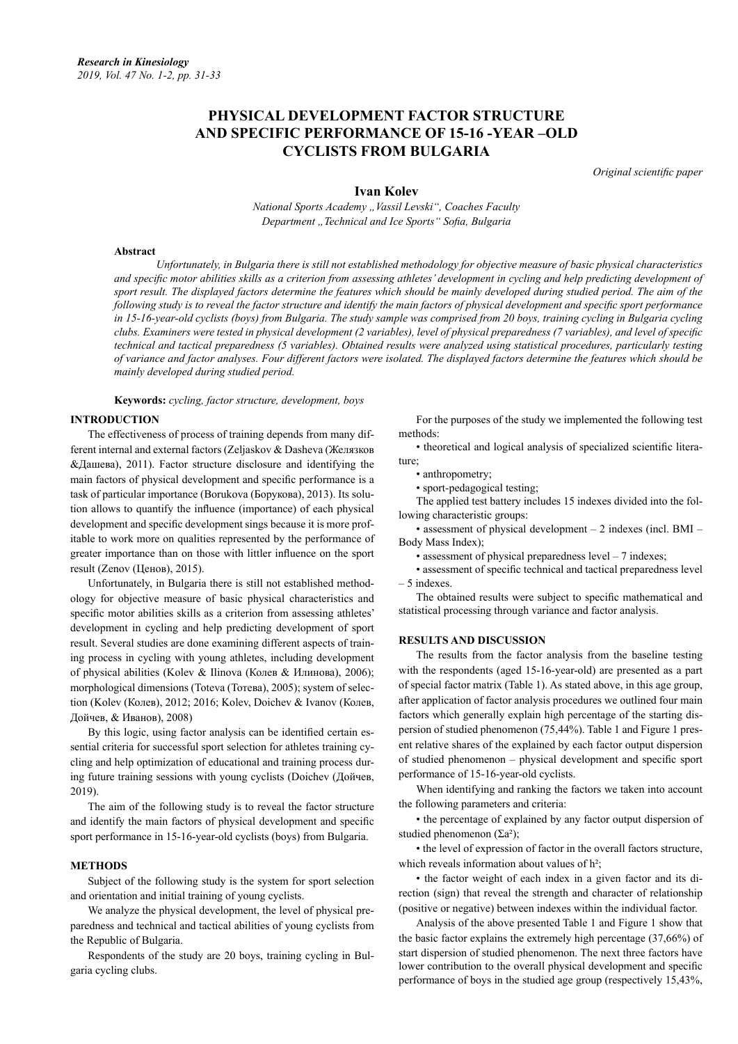# **PHYSICAL DEVELOPMENT FACTOR STRUCTURE AND SPECIFIC PERFORMANCE OF 15-16 -YEAR –OLD CYCLISTS FROM BULGARIA**

*Original scientific paper*

**Ivan Kolev**

*National Sports Academy "Vassil Levski", Coaches Faculty Department "Technical and Ice Sports" Sofia, Bulgaria*

## **Abstract**

*Unfortunately, in Bulgaria there is still not established methodology for objective measure of basic physical characteristics and specific motor abilities skills as a criterion from assessing athletes' development in cycling and help predicting development of*  sport result. The displayed factors determine the features which should be mainly developed during studied period. The aim of the *following study is to reveal the factor structure and identify the main factors of physical development and specific sport performance in 15-16-year-old cyclists (boys) from Bulgaria. The study sample was comprised from 20 boys, training cycling in Bulgaria cycling clubs. Examiners were tested in physical development (2 variables), level of physical preparedness (7 variables), and level of specific technical and tactical preparedness (5 variables). Obtained results were analyzed using statistical procedures, particularly testing of variance and factor analyses. Four different factors were isolated. The displayed factors determine the features which should be mainly developed during studied period.*

**Keywords:** *cycling, factor structure, development, boys*

#### **INTRODUCTION**

The effectiveness of process of training depends from many different internal and external factors (Zeljaskov & Dasheva (Желязков &Дашева), 2011). Factor structure disclosure and identifying the main factors of physical development and specific performance is a task of particular importance (Borukova (Борукова), 2013). Its solution allows to quantify the influence (importance) of each physical development and specific development sings because it is more profitable to work more on qualities represented by the performance of greater importance than on those with littler influence on the sport result (Zenov (Ценов), 2015).

Unfortunately, in Bulgaria there is still not established methodology for objective measure of basic physical characteristics and specific motor abilities skills as a criterion from assessing athletes' development in cycling and help predicting development of sport result. Several studies are done examining different aspects of training process in cycling with young athletes, including development of physical abilities (Kolev & Ilinova (Колев & Илинова), 2006); morphological dimensions (Toteva (Тотева), 2005); system of selection (Kolev (Колев), 2012; 2016; Kolev, Doichev & Ivanov (Колев, Дойчев, & Иванов), 2008)

By this logic, using factor analysis can be identified certain essential criteria for successful sport selection for athletes training cycling and help optimization of educational and training process during future training sessions with young cyclists (Doichev (Дойчев, 2019).

The aim of the following study is to reveal the factor structure and identify the main factors of physical development and specific sport performance in 15-16-year-old cyclists (boys) from Bulgaria.

## **METHODS**

Subject of the following study is the system for sport selection and orientation and initial training of young cyclists.

We analyze the physical development, the level of physical preparedness and technical and tactical abilities of young cyclists from the Republic of Bulgaria.

Respondents of the study are 20 boys, training cycling in Bulgaria cycling clubs.

For the purposes of the study we implemented the following test methods:

• theoretical and logical analysis of specialized scientific literature;

• anthropometry;

• sport-pedagogical testing;

The applied test battery includes 15 indexes divided into the following characteristic groups:

• assessment of physical development – 2 indexes (incl. BMI – Body Mass Index);

• assessment of physical preparedness level – 7 indexes;

• assessment of specific technical and tactical preparedness level – 5 indexes.

The obtained results were subject to specific mathematical and statistical processing through variance and factor analysis.

# **RESULTS AND DISCUSSION**

The results from the factor analysis from the baseline testing with the respondents (aged 15-16-year-old) are presented as a part of special factor matrix (Table 1). As stated above, in this age group, after application of factor analysis procedures we outlined four main factors which generally explain high percentage of the starting dispersion of studied phenomenon (75,44%). Table 1 and Figure 1 present relative shares of the explained by each factor output dispersion of studied phenomenon – physical development and specific sport performance of 15-16-year-old cyclists.

When identifying and ranking the factors we taken into account the following parameters and criteria:

• the percentage of explained by any factor output dispersion of studied phenomenon ( $\Sigma a^2$ );

• the level of expression of factor in the overall factors structure, which reveals information about values of  $h^2$ :

• the factor weight of each index in a given factor and its direction (sign) that reveal the strength and character of relationship (positive or negative) between indexes within the individual factor.

Analysis of the above presented Table 1 and Figure 1 show that the basic factor explains the extremely high percentage (37,66%) of start dispersion of studied phenomenon. The next three factors have lower contribution to the overall physical development and specific performance of boys in the studied age group (respectively 15,43%,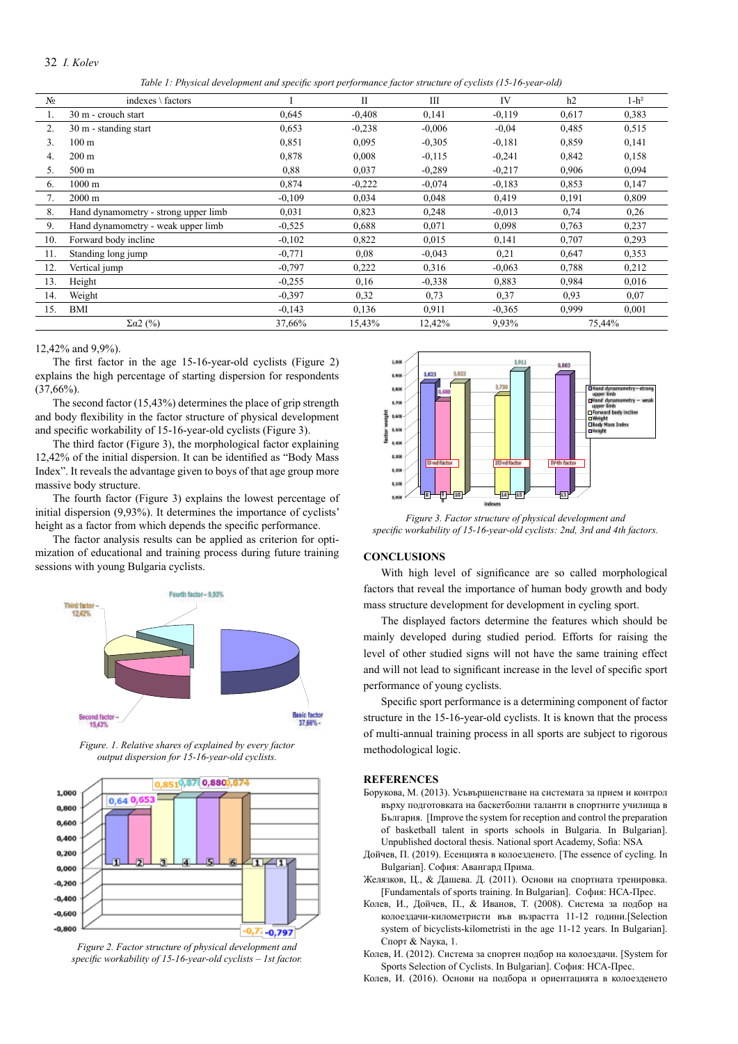### 32 *I. Kolev*

*Table 1: Physical development and specific sport performance factor structure of cyclists (15-16-year-old)*

| N <sub>2</sub> | indexes $\setminus$ factors          |          | $_{\rm II}$ | Ш        | IV       | h2     | $1-h^2$ |
|----------------|--------------------------------------|----------|-------------|----------|----------|--------|---------|
|                | 30 m - crouch start                  | 0,645    | $-0,408$    | 0,141    | $-0.119$ | 0,617  | 0,383   |
| 2.             | 30 m - standing start                | 0,653    | $-0,238$    | $-0.006$ | $-0.04$  | 0,485  | 0.515   |
| 3.             | 100 <sub>m</sub>                     | 0,851    | 0,095       | $-0,305$ | $-0.181$ | 0,859  | 0,141   |
| 4.             | $200 \text{ m}$                      | 0,878    | 0,008       | $-0,115$ | $-0,241$ | 0,842  | 0,158   |
| 5.             | $500 \text{ m}$                      | 0,88     | 0,037       | $-0.289$ | $-0,217$ | 0,906  | 0,094   |
| 6.             | $1000 \text{ m}$                     | 0,874    | $-0,222$    | $-0.074$ | $-0.183$ | 0,853  | 0,147   |
| 7.             | $2000 \text{ m}$                     | $-0,109$ | 0,034       | 0,048    | 0,419    | 0,191  | 0,809   |
| 8.             | Hand dynamometry - strong upper limb | 0.031    | 0,823       | 0,248    | $-0.013$ | 0,74   | 0,26    |
| 9.             | Hand dynamometry - weak upper limb   | $-0.525$ | 0,688       | 0,071    | 0,098    | 0,763  | 0,237   |
| 10.            | Forward body incline                 | $-0,102$ | 0,822       | 0,015    | 0,141    | 0,707  | 0,293   |
| 11.            | Standing long jump                   | $-0,771$ | 0.08        | $-0.043$ | 0,21     | 0,647  | 0,353   |
| 12.            | Vertical jump                        | $-0,797$ | 0,222       | 0,316    | $-0,063$ | 0,788  | 0,212   |
| 13.            | Height                               | $-0.255$ | 0.16        | $-0,338$ | 0,883    | 0,984  | 0,016   |
| 14.            | Weight                               | $-0.397$ | 0.32        | 0.73     | 0.37     | 0.93   | 0.07    |
| 15.            | BMI                                  | $-0,143$ | 0,136       | 0.911    | $-0.365$ | 0,999  | 0,001   |
|                | $\Sigma\alpha$ 2 (%)                 | 37,66%   | 15,43%      | 12,42%   | 9,93%    | 75,44% |         |

12,42% and 9,9%).

The first factor in the age 15-16-year-old cyclists (Figure 2) explains the high percentage of starting dispersion for respondents  $(37,66\%)$ .

The second factor (15,43%) determines the place of grip strength and body flexibility in the factor structure of physical development and specific workability of 15-16-year-old cyclists (Figure 3).

The third factor (Figure 3), the morphological factor explaining 12,42% of the initial dispersion. It can be identified as "Body Mass Index". It reveals the advantage given to boys of that age group more massive body structure.

The fourth factor (Figure 3) explains the lowest percentage of initial dispersion (9,93%). It determines the importance of cyclists' height as a factor from which depends the specific performance.

The factor analysis results can be applied as criterion for optimization of educational and training process during future training sessions with young Bulgaria cyclists.



*Figure. 1. Relative shares of explained by every factor output dispersion for 15-16-year-old cyclists.*



*Figure 2. Factor structure of physical development and specific workability of 15-16-year-old cyclists – 1st factor.* 



*Figure 3. Factor structure of physical development and specific workability of 15-16-year-old cyclists: 2nd, 3rd and 4th factors.*

## **CONCLUSIONS**

With high level of significance are so called morphological factors that reveal the importance of human body growth and body mass structure development for development in cycling sport.

The displayed factors determine the features which should be mainly developed during studied period. Efforts for raising the level of other studied signs will not have the same training effect and will not lead to significant increase in the level of specific sport performance of young cyclists.

Specific sport performance is a determining component of factor structure in the 15-16-year-old cyclists. It is known that the process of multi-annual training process in all sports are subject to rigorous methodological logic.

### **REFERENCES**

- Борукова, М. (2013). Усъвършенстване на системата за прием и контрол върху подготовката на баскетболни таланти в спортните училища в България. [Improve the system for reception and control the preparation of basketball talent in sports schools in Bulgaria. In Bulgarian]. Unpublished doctoral thesis. National sport Academy, Sofia: NSA
- Дойчев, П. (2019). Есенцията в колоезденето. [The essence of cycling. In Bulgarian]. София: Авангард Прима.
- Желязков, Ц., & Дашева. Д. (2011). Основи на спортната тренировка. [Fundamentals of sports training. In Bulgarian]. София: НСА-Прес.
- Колев, И., Дойчев, П., & Иванов, Т. (2008). Система за подбор на колоездачи-километристи във възрастта 11-12 години.[Selection system of bicyclists-kilometristi in the age 11-12 years. In Bulgarian]. Спорт & Naука, 1.

Колев, И. (2012). Система за спортен подбор на колоездачи. [System for Sports Selection of Cyclists. In Bulgarian]. София: НСА-Прес.

Колев, И. (2016). Основи на подбора и ориентацията в колоезденето